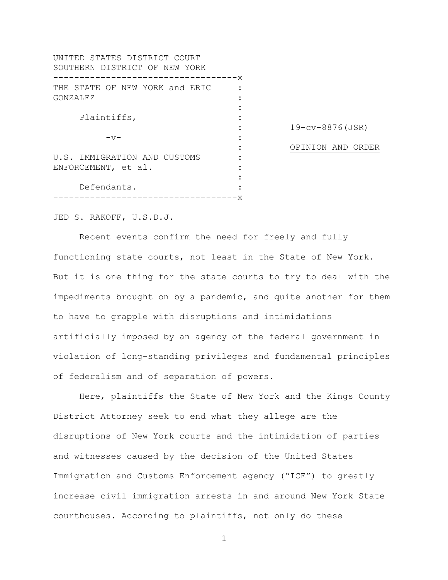| UNITED STATES DISTRICT COURT<br>SOUTHERN DISTRICT OF NEW YORK |             |                        |
|---------------------------------------------------------------|-------------|------------------------|
|                                                               | . — — — — x |                        |
| THE STATE OF NEW YORK and ERIC                                |             |                        |
| GONZALEZ                                                      |             |                        |
|                                                               |             |                        |
| Plaintiffs,                                                   |             |                        |
|                                                               |             | $19 - cv - 8876$ (JSR) |
| $-57-$                                                        |             |                        |
|                                                               |             | OPINION AND ORDER      |
| U.S. IMMIGRATION AND CUSTOMS                                  |             |                        |
| ENFORCEMENT, et al.                                           |             |                        |
|                                                               |             |                        |
| Defendants.                                                   |             |                        |
|                                                               |             |                        |

JED S. RAKOFF, U.S.D.J.

Recent events confirm the need for freely and fully functioning state courts, not least in the State of New York. But it is one thing for the state courts to try to deal with the impediments brought on by a pandemic, and quite another for them to have to grapple with disruptions and intimidations artificially imposed by an agency of the federal government in violation of long-standing privileges and fundamental principles of federalism and of separation of powers.

Here, plaintiffs the State of New York and the Kings County District Attorney seek to end what they allege are the disruptions of New York courts and the intimidation of parties and witnesses caused by the decision of the United States Immigration and Customs Enforcement agency ("ICE") to greatly increase civil immigration arrests in and around New York State courthouses. According to plaintiffs, not only do these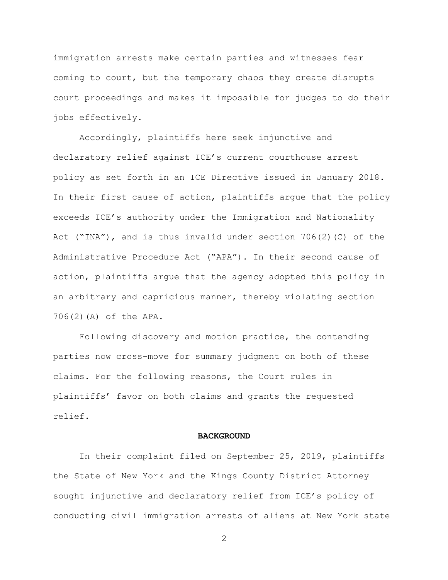immigration arrests make certain parties and witnesses fear coming to court, but the temporary chaos they create disrupts court proceedings and makes it impossible for judges to do their jobs effectively.

Accordingly, plaintiffs here seek injunctive and declaratory relief against ICE's current courthouse arrest policy as set forth in an ICE Directive issued in January 2018. In their first cause of action, plaintiffs argue that the policy exceeds ICE's authority under the Immigration and Nationality Act ("INA"), and is thus invalid under section  $706(2)(C)$  of the Administrative Procedure Act ("APA"). In their second cause of action, plaintiffs argue that the agency adopted this policy in an arbitrary and capricious manner, thereby violating section 706(2)(A) of the APA.

Following discovery and motion practice, the contending parties now cross-move for summary judgment on both of these claims. For the following reasons, the Court rules in plaintiffs' favor on both claims and grants the requested relief.

### **BACKGROUND**

In their complaint filed on September 25, 2019, plaintiffs the State of New York and the Kings County District Attorney sought injunctive and declaratory relief from ICE's policy of conducting civil immigration arrests of aliens at New York state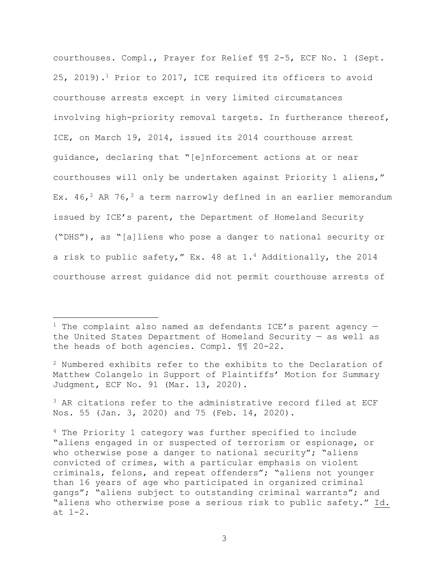courthouses. Compl., Prayer for Relief ¶¶ 2-5, ECF No. 1 (Sept. 25, 2019).1 Prior to 2017, ICE required its officers to avoid courthouse arrests except in very limited circumstances involving high-priority removal targets. In furtherance thereof, ICE, on March 19, 2014, issued its 2014 courthouse arrest guidance, declaring that "[e]nforcement actions at or near courthouses will only be undertaken against Priority 1 aliens," Ex.  $46,^2$  AR 76,<sup>3</sup> a term narrowly defined in an earlier memorandum issued by ICE's parent, the Department of Homeland Security ("DHS"), as "[a]liens who pose a danger to national security or a risk to public safety," Ex. 48 at 1.4 Additionally, the 2014 courthouse arrest guidance did not permit courthouse arrests of

 $2$  Numbered exhibits refer to the exhibits to the Declaration of Matthew Colangelo in Support of Plaintiffs' Motion for Summary Judgment, ECF No. 91 (Mar. 13, 2020).

<sup>3</sup> AR citations refer to the administrative record filed at ECF Nos. 55 (Jan. 3, 2020) and 75 (Feb. 14, 2020).

<sup>&</sup>lt;sup>1</sup> The complaint also named as defendants ICE's parent agency  $$ the United States Department of Homeland Security — as well as the heads of both agencies. Compl. ¶¶ 20-22.

<sup>4</sup> The Priority 1 category was further specified to include "aliens engaged in or suspected of terrorism or espionage, or who otherwise pose a danger to national security"; "aliens" convicted of crimes, with a particular emphasis on violent criminals, felons, and repeat offenders"; "aliens not younger than 16 years of age who participated in organized criminal gangs"; "aliens subject to outstanding criminal warrants"; and "aliens who otherwise pose a serious risk to public safety." Id. at 1-2.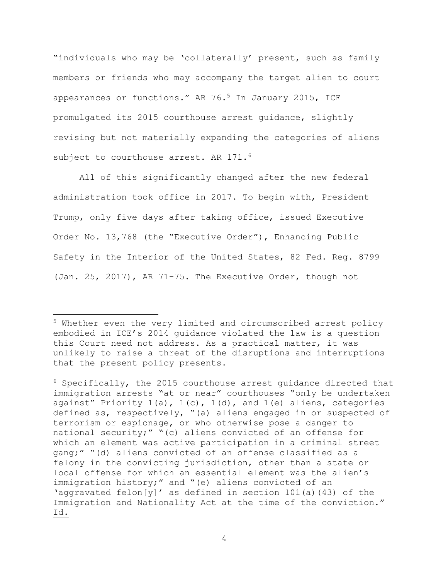"individuals who may be 'collaterally' present, such as family members or friends who may accompany the target alien to court appearances or functions." AR 76.5 In January 2015, ICE promulgated its 2015 courthouse arrest guidance, slightly revising but not materially expanding the categories of aliens subject to courthouse arrest. AR 171.<sup>6</sup>

All of this significantly changed after the new federal administration took office in 2017. To begin with, President Trump, only five days after taking office, issued Executive Order No. 13,768 (the "Executive Order"), Enhancing Public Safety in the Interior of the United States, 82 Fed. Reg. 8799 (Jan. 25, 2017), AR 71-75. The Executive Order, though not

<sup>6</sup> Specifically, the 2015 courthouse arrest guidance directed that immigration arrests "at or near" courthouses "only be undertaken against" Priority  $1(a)$ ,  $1(c)$ ,  $1(d)$ , and  $1(e)$  aliens, categories defined as, respectively, "(a) aliens engaged in or suspected of terrorism or espionage, or who otherwise pose a danger to national security;" "(c) aliens convicted of an offense for which an element was active participation in a criminal street gang;" "(d) aliens convicted of an offense classified as a felony in the convicting jurisdiction, other than a state or local offense for which an essential element was the alien's immigration history;" and "(e) aliens convicted of an 'aggravated felon[y]' as defined in section 101(a)(43) of the Immigration and Nationality Act at the time of the conviction." Id.

<sup>5</sup> Whether even the very limited and circumscribed arrest policy embodied in ICE's 2014 guidance violated the law is a question this Court need not address. As a practical matter, it was unlikely to raise a threat of the disruptions and interruptions that the present policy presents.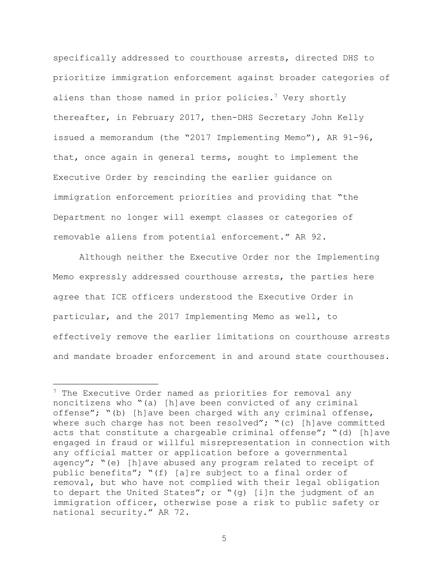specifically addressed to courthouse arrests, directed DHS to prioritize immigration enforcement against broader categories of aliens than those named in prior policies.<sup>7</sup> Very shortly thereafter, in February 2017, then-DHS Secretary John Kelly issued a memorandum (the "2017 Implementing Memo"), AR 91-96, that, once again in general terms, sought to implement the Executive Order by rescinding the earlier guidance on immigration enforcement priorities and providing that "the Department no longer will exempt classes or categories of removable aliens from potential enforcement." AR 92.

Although neither the Executive Order nor the Implementing Memo expressly addressed courthouse arrests, the parties here agree that ICE officers understood the Executive Order in particular, and the 2017 Implementing Memo as well, to effectively remove the earlier limitations on courthouse arrests and mandate broader enforcement in and around state courthouses.

 $7$  The Executive Order named as priorities for removal any noncitizens who "(a) [h]ave been convicted of any criminal offense"; "(b) [h]ave been charged with any criminal offense, where such charge has not been resolved"; "(c) [h]ave committed acts that constitute a chargeable criminal offense";  $" (d)$  [h]ave engaged in fraud or willful misrepresentation in connection with any official matter or application before a governmental agency"; "(e) [h]ave abused any program related to receipt of public benefits"; "(f) [a]re subject to a final order of removal, but who have not complied with their legal obligation to depart the United States"; or "(g) [i]n the judgment of an immigration officer, otherwise pose a risk to public safety or national security." AR 72.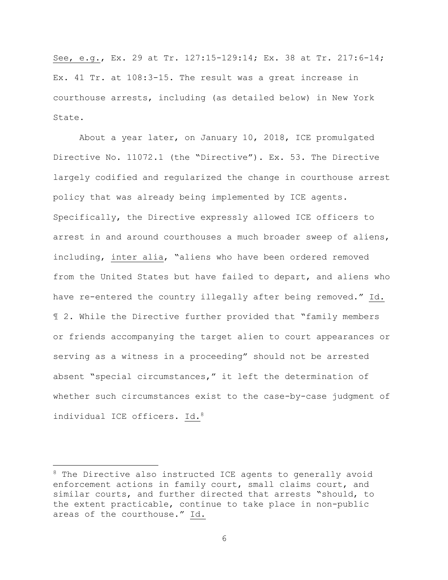See, e.g., Ex. 29 at Tr. 127:15-129:14; Ex. 38 at Tr. 217:6-14; Ex. 41 Tr. at 108:3-15. The result was a great increase in courthouse arrests, including (as detailed below) in New York State.

About a year later, on January 10, 2018, ICE promulgated Directive No. 11072.1 (the "Directive"). Ex. 53. The Directive largely codified and regularized the change in courthouse arrest policy that was already being implemented by ICE agents. Specifically, the Directive expressly allowed ICE officers to arrest in and around courthouses a much broader sweep of aliens, including, inter alia, "aliens who have been ordered removed from the United States but have failed to depart, and aliens who have re-entered the country illegally after being removed." Id. ¶ 2. While the Directive further provided that "family members or friends accompanying the target alien to court appearances or serving as a witness in a proceeding" should not be arrested absent "special circumstances," it left the determination of whether such circumstances exist to the case-by-case judgment of individual ICE officers. Id.<sup>8</sup>

<sup>&</sup>lt;sup>8</sup> The Directive also instructed ICE agents to generally avoid enforcement actions in family court, small claims court, and similar courts, and further directed that arrests "should, to the extent practicable, continue to take place in non-public areas of the courthouse." Id.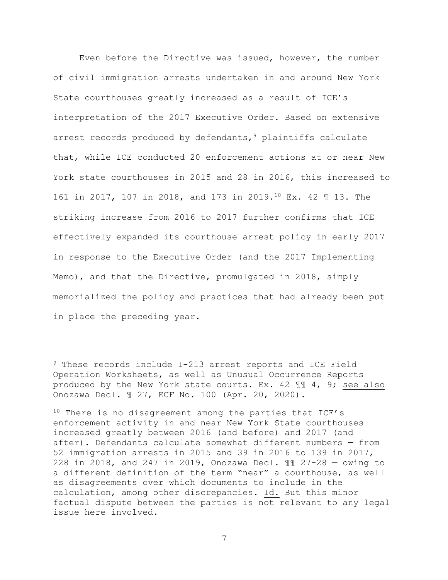Even before the Directive was issued, however, the number of civil immigration arrests undertaken in and around New York State courthouses greatly increased as a result of ICE's interpretation of the 2017 Executive Order. Based on extensive arrest records produced by defendants,  $9$  plaintiffs calculate that, while ICE conducted 20 enforcement actions at or near New York state courthouses in 2015 and 28 in 2016, this increased to 161 in 2017, 107 in 2018, and 173 in 2019.10 Ex. 42 ¶ 13. The striking increase from 2016 to 2017 further confirms that ICE effectively expanded its courthouse arrest policy in early 2017 in response to the Executive Order (and the 2017 Implementing Memo), and that the Directive, promulgated in 2018, simply memorialized the policy and practices that had already been put in place the preceding year.

<sup>9</sup> These records include I-213 arrest reports and ICE Field Operation Worksheets, as well as Unusual Occurrence Reports produced by the New York state courts. Ex. 42 ¶¶ 4, 9; see also Onozawa Decl. ¶ 27, ECF No. 100 (Apr. 20, 2020).

 $10$  There is no disagreement among the parties that ICE's enforcement activity in and near New York State courthouses increased greatly between 2016 (and before) and 2017 (and after). Defendants calculate somewhat different numbers — from 52 immigration arrests in 2015 and 39 in 2016 to 139 in 2017, 228 in 2018, and 247 in 2019, Onozawa Decl. ¶¶ 27-28 — owing to a different definition of the term "near" a courthouse, as well as disagreements over which documents to include in the calculation, among other discrepancies. Id. But this minor factual dispute between the parties is not relevant to any legal issue here involved.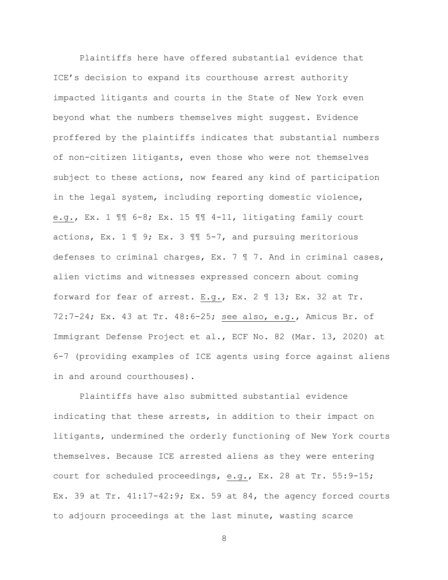Plaintiffs here have offered substantial evidence that ICE's decision to expand its courthouse arrest authority impacted litigants and courts in the State of New York even beyond what the numbers themselves might suggest. Evidence proffered by the plaintiffs indicates that substantial numbers of non-citizen litigants, even those who were not themselves subject to these actions, now feared any kind of participation in the legal system, including reporting domestic violence, e.g., Ex. 1 ¶¶ 6-8; Ex. 15 ¶¶ 4-11, litigating family court actions, Ex. 1  $\mathbb{I}$  9; Ex. 3  $\mathbb{I}$  5-7, and pursuing meritorious defenses to criminal charges, Ex. 7 ¶ 7. And in criminal cases, alien victims and witnesses expressed concern about coming forward for fear of arrest. E.g., Ex. 2 ¶ 13; Ex. 32 at Tr. 72:7-24; Ex. 43 at Tr. 48:6-25; see also, e.g., Amicus Br. of Immigrant Defense Project et al., ECF No. 82 (Mar. 13, 2020) at 6-7 (providing examples of ICE agents using force against aliens in and around courthouses).

Plaintiffs have also submitted substantial evidence indicating that these arrests, in addition to their impact on litigants, undermined the orderly functioning of New York courts themselves. Because ICE arrested aliens as they were entering court for scheduled proceedings, e.g., Ex. 28 at Tr. 55:9-15; Ex. 39 at Tr.  $41:17-42:9$ ; Ex. 59 at 84, the agency forced courts to adjourn proceedings at the last minute, wasting scarce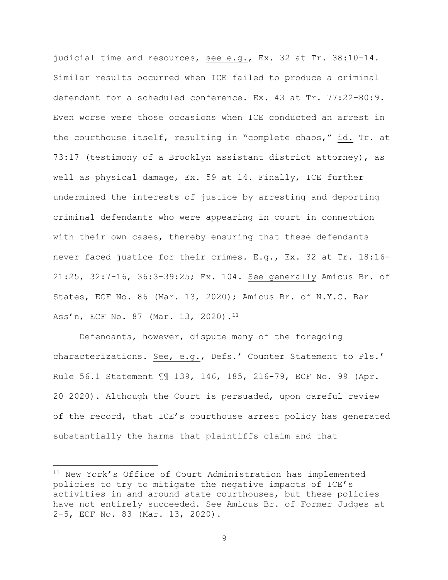judicial time and resources, see e.g., Ex. 32 at Tr. 38:10-14. Similar results occurred when ICE failed to produce a criminal defendant for a scheduled conference. Ex. 43 at Tr. 77:22-80:9. Even worse were those occasions when ICE conducted an arrest in the courthouse itself, resulting in "complete chaos," id. Tr. at 73:17 (testimony of a Brooklyn assistant district attorney), as well as physical damage, Ex. 59 at 14. Finally, ICE further undermined the interests of justice by arresting and deporting criminal defendants who were appearing in court in connection with their own cases, thereby ensuring that these defendants never faced justice for their crimes. E.g., Ex. 32 at Tr. 18:16- 21:25, 32:7-16, 36:3-39:25; Ex. 104. See generally Amicus Br. of States, ECF No. 86 (Mar. 13, 2020); Amicus Br. of N.Y.C. Bar Ass'n, ECF No. 87 (Mar. 13, 2020).<sup>11</sup>

Defendants, however, dispute many of the foregoing characterizations. See, e.g., Defs.' Counter Statement to Pls.' Rule 56.1 Statement ¶¶ 139, 146, 185, 216-79, ECF No. 99 (Apr. 20 2020). Although the Court is persuaded, upon careful review of the record, that ICE's courthouse arrest policy has generated substantially the harms that plaintiffs claim and that

<sup>11</sup> New York's Office of Court Administration has implemented policies to try to mitigate the negative impacts of ICE's activities in and around state courthouses, but these policies have not entirely succeeded. See Amicus Br. of Former Judges at 2-5, ECF No. 83 (Mar. 13, 2020).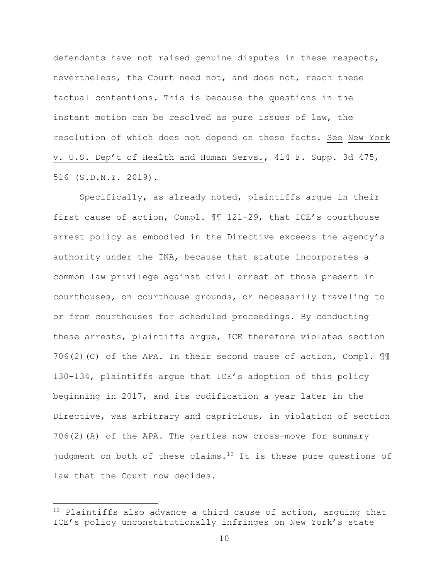defendants have not raised genuine disputes in these respects, nevertheless, the Court need not, and does not, reach these factual contentions. This is because the questions in the instant motion can be resolved as pure issues of law, the resolution of which does not depend on these facts. See New York v. U.S. Dep't of Health and Human Servs., 414 F. Supp. 3d 475, 516 (S.D.N.Y. 2019).

Specifically, as already noted, plaintiffs argue in their first cause of action, Compl. ¶¶ 121-29, that ICE's courthouse arrest policy as embodied in the Directive exceeds the agency's authority under the INA, because that statute incorporates a common law privilege against civil arrest of those present in courthouses, on courthouse grounds, or necessarily traveling to or from courthouses for scheduled proceedings. By conducting these arrests, plaintiffs argue, ICE therefore violates section 706(2)(C) of the APA. In their second cause of action, Compl.  $\mathbb{I}\mathbb{I}$ 130-134, plaintiffs argue that ICE's adoption of this policy beginning in 2017, and its codification a year later in the Directive, was arbitrary and capricious, in violation of section 706(2)(A) of the APA. The parties now cross-move for summary judgment on both of these claims.<sup>12</sup> It is these pure questions of law that the Court now decides.

 $12$  Plaintiffs also advance a third cause of action, arguing that ICE's policy unconstitutionally infringes on New York's state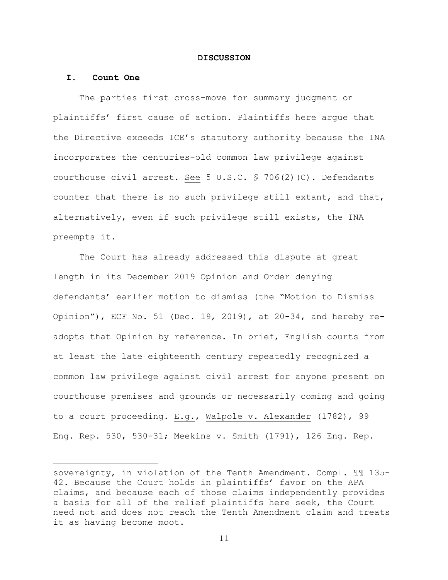#### **DISCUSSION**

#### **I. Count One**

The parties first cross-move for summary judgment on plaintiffs' first cause of action. Plaintiffs here argue that the Directive exceeds ICE's statutory authority because the INA incorporates the centuries-old common law privilege against courthouse civil arrest. See 5 U.S.C. § 706(2)(C). Defendants counter that there is no such privilege still extant, and that, alternatively, even if such privilege still exists, the INA preempts it.

The Court has already addressed this dispute at great length in its December 2019 Opinion and Order denying defendants' earlier motion to dismiss (the "Motion to Dismiss Opinion"), ECF No. 51 (Dec. 19, 2019), at 20-34, and hereby readopts that Opinion by reference. In brief, English courts from at least the late eighteenth century repeatedly recognized a common law privilege against civil arrest for anyone present on courthouse premises and grounds or necessarily coming and going to a court proceeding. E.g., Walpole v. Alexander (1782), 99 Eng. Rep. 530, 530-31; Meekins v. Smith (1791), 126 Eng. Rep.

sovereignty, in violation of the Tenth Amendment. Compl. ¶¶ 135- 42. Because the Court holds in plaintiffs' favor on the APA claims, and because each of those claims independently provides a basis for all of the relief plaintiffs here seek, the Court need not and does not reach the Tenth Amendment claim and treats it as having become moot.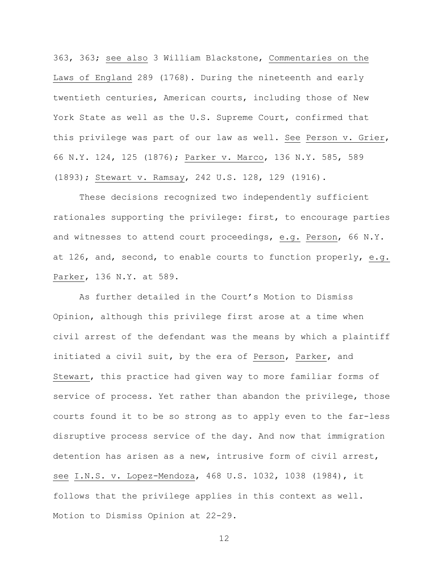363, 363; see also 3 William Blackstone, Commentaries on the Laws of England 289 (1768). During the nineteenth and early twentieth centuries, American courts, including those of New York State as well as the U.S. Supreme Court, confirmed that this privilege was part of our law as well. See Person v. Grier, 66 N.Y. 124, 125 (1876); Parker v. Marco, 136 N.Y. 585, 589 (1893); Stewart v. Ramsay, 242 U.S. 128, 129 (1916).

These decisions recognized two independently sufficient rationales supporting the privilege: first, to encourage parties and witnesses to attend court proceedings, e.g. Person, 66 N.Y. at 126, and, second, to enable courts to function properly, e.g. Parker, 136 N.Y. at 589.

As further detailed in the Court's Motion to Dismiss Opinion, although this privilege first arose at a time when civil arrest of the defendant was the means by which a plaintiff initiated a civil suit, by the era of Person, Parker, and Stewart, this practice had given way to more familiar forms of service of process. Yet rather than abandon the privilege, those courts found it to be so strong as to apply even to the far-less disruptive process service of the day. And now that immigration detention has arisen as a new, intrusive form of civil arrest, see I.N.S. v. Lopez-Mendoza, 468 U.S. 1032, 1038 (1984), it follows that the privilege applies in this context as well. Motion to Dismiss Opinion at 22-29.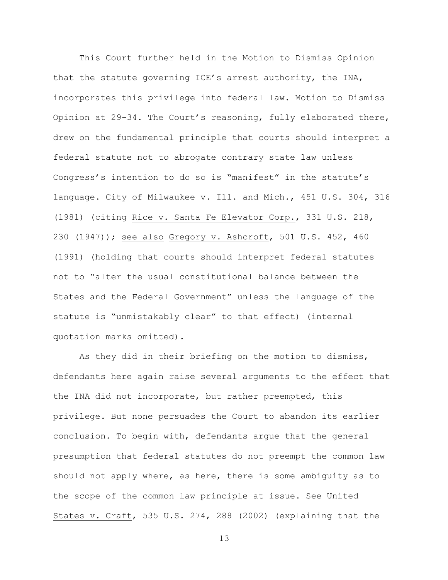This Court further held in the Motion to Dismiss Opinion that the statute governing ICE's arrest authority, the INA, incorporates this privilege into federal law. Motion to Dismiss Opinion at 29-34. The Court's reasoning, fully elaborated there, drew on the fundamental principle that courts should interpret a federal statute not to abrogate contrary state law unless Congress's intention to do so is "manifest" in the statute's language. City of Milwaukee v. Ill. and Mich., 451 U.S. 304, 316 (1981) (citing Rice v. Santa Fe Elevator Corp., 331 U.S. 218, 230 (1947)); see also Gregory v. Ashcroft, 501 U.S. 452, 460 (1991) (holding that courts should interpret federal statutes not to "alter the usual constitutional balance between the States and the Federal Government" unless the language of the statute is "unmistakably clear" to that effect) (internal quotation marks omitted).

As they did in their briefing on the motion to dismiss, defendants here again raise several arguments to the effect that the INA did not incorporate, but rather preempted, this privilege. But none persuades the Court to abandon its earlier conclusion. To begin with, defendants argue that the general presumption that federal statutes do not preempt the common law should not apply where, as here, there is some ambiguity as to the scope of the common law principle at issue. See United States v. Craft, 535 U.S. 274, 288 (2002) (explaining that the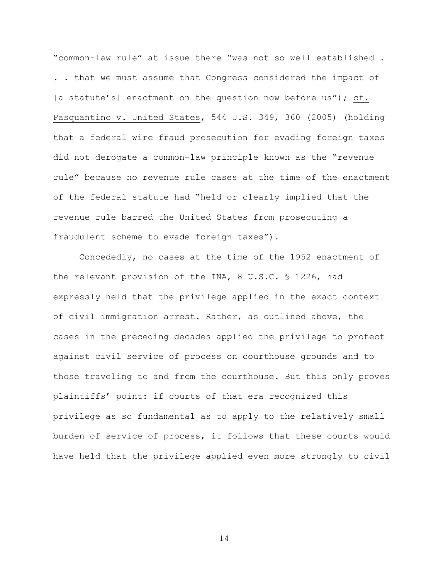"common-law rule" at issue there "was not so well established . . . that we must assume that Congress considered the impact of [a statute's] enactment on the question now before us"); cf. Pasquantino v. United States, 544 U.S. 349, 360 (2005) (holding that a federal wire fraud prosecution for evading foreign taxes did not derogate a common-law principle known as the "revenue rule" because no revenue rule cases at the time of the enactment of the federal statute had "held or clearly implied that the revenue rule barred the United States from prosecuting a fraudulent scheme to evade foreign taxes").

Concededly, no cases at the time of the 1952 enactment of the relevant provision of the INA, 8 U.S.C. § 1226, had expressly held that the privilege applied in the exact context of civil immigration arrest. Rather, as outlined above, the cases in the preceding decades applied the privilege to protect against civil service of process on courthouse grounds and to those traveling to and from the courthouse. But this only proves plaintiffs' point: if courts of that era recognized this privilege as so fundamental as to apply to the relatively small burden of service of process, it follows that these courts would have held that the privilege applied even more strongly to civil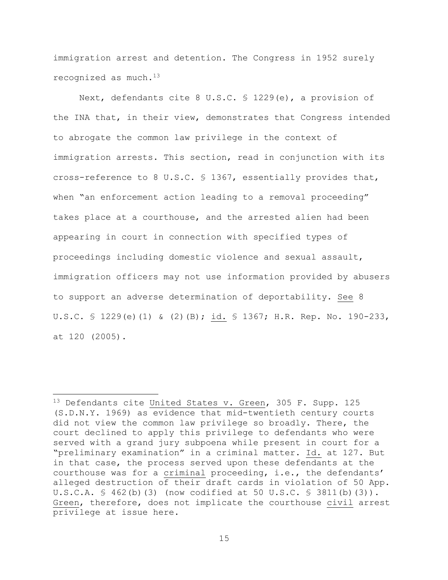immigration arrest and detention. The Congress in 1952 surely recognized as much.13

Next, defendants cite 8 U.S.C. § 1229(e), a provision of the INA that, in their view, demonstrates that Congress intended to abrogate the common law privilege in the context of immigration arrests. This section, read in conjunction with its cross-reference to 8 U.S.C. § 1367, essentially provides that, when "an enforcement action leading to a removal proceeding" takes place at a courthouse, and the arrested alien had been appearing in court in connection with specified types of proceedings including domestic violence and sexual assault, immigration officers may not use information provided by abusers to support an adverse determination of deportability. See 8 U.S.C. § 1229(e)(1) & (2)(B); id. § 1367; H.R. Rep. No. 190-233, at 120 (2005).

<sup>&</sup>lt;sup>13</sup> Defendants cite United States v. Green, 305 F. Supp. 125 (S.D.N.Y. 1969) as evidence that mid-twentieth century courts did not view the common law privilege so broadly. There, the court declined to apply this privilege to defendants who were served with a grand jury subpoena while present in court for a "preliminary examination" in a criminal matter. Id. at 127. But in that case, the process served upon these defendants at the courthouse was for a criminal proceeding, i.e., the defendants' alleged destruction of their draft cards in violation of 50 App. U.S.C.A. § 462(b)(3) (now codified at 50 U.S.C. § 3811(b)(3)). Green, therefore, does not implicate the courthouse civil arrest privilege at issue here.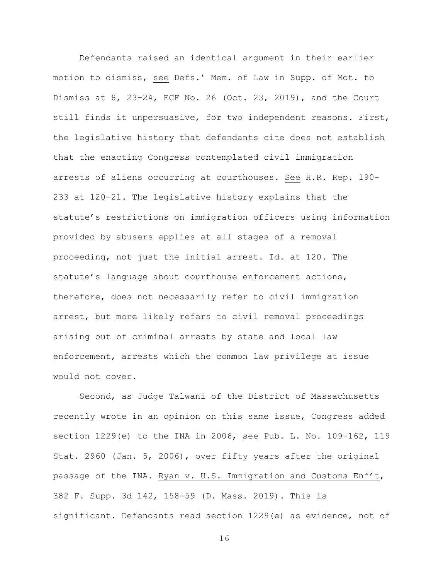Defendants raised an identical argument in their earlier motion to dismiss, see Defs.' Mem. of Law in Supp. of Mot. to Dismiss at 8, 23-24, ECF No. 26 (Oct. 23, 2019), and the Court still finds it unpersuasive, for two independent reasons. First, the legislative history that defendants cite does not establish that the enacting Congress contemplated civil immigration arrests of aliens occurring at courthouses. See H.R. Rep. 190- 233 at 120-21. The legislative history explains that the statute's restrictions on immigration officers using information provided by abusers applies at all stages of a removal proceeding, not just the initial arrest. Id. at 120. The statute's language about courthouse enforcement actions, therefore, does not necessarily refer to civil immigration arrest, but more likely refers to civil removal proceedings arising out of criminal arrests by state and local law enforcement, arrests which the common law privilege at issue would not cover.

Second, as Judge Talwani of the District of Massachusetts recently wrote in an opinion on this same issue, Congress added section 1229(e) to the INA in 2006, see Pub. L. No. 109-162, 119 Stat. 2960 (Jan. 5, 2006), over fifty years after the original passage of the INA. Ryan v. U.S. Immigration and Customs Enf't, 382 F. Supp. 3d 142, 158-59 (D. Mass. 2019). This is significant. Defendants read section 1229(e) as evidence, not of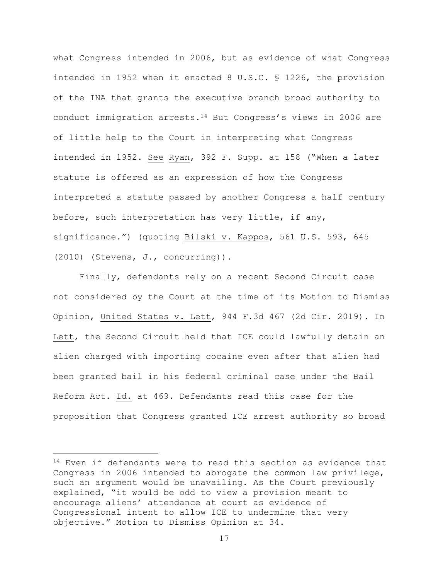what Congress intended in 2006, but as evidence of what Congress intended in 1952 when it enacted 8 U.S.C. § 1226, the provision of the INA that grants the executive branch broad authority to conduct immigration arrests. $14$  But Congress's views in 2006 are of little help to the Court in interpreting what Congress intended in 1952. See Ryan, 392 F. Supp. at 158 ("When a later statute is offered as an expression of how the Congress interpreted a statute passed by another Congress a half century before, such interpretation has very little, if any, significance.") (quoting Bilski v. Kappos, 561 U.S. 593, 645 (2010) (Stevens, J., concurring)).

Finally, defendants rely on a recent Second Circuit case not considered by the Court at the time of its Motion to Dismiss Opinion, United States v. Lett, 944 F.3d 467 (2d Cir. 2019). In Lett, the Second Circuit held that ICE could lawfully detain an alien charged with importing cocaine even after that alien had been granted bail in his federal criminal case under the Bail Reform Act. Id. at 469. Defendants read this case for the proposition that Congress granted ICE arrest authority so broad

 $14$  Even if defendants were to read this section as evidence that Congress in 2006 intended to abrogate the common law privilege, such an argument would be unavailing. As the Court previously explained, "it would be odd to view a provision meant to encourage aliens' attendance at court as evidence of Congressional intent to allow ICE to undermine that very objective." Motion to Dismiss Opinion at 34.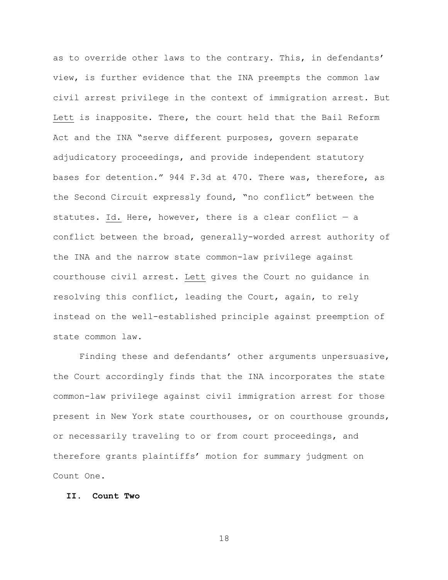as to override other laws to the contrary. This, in defendants' view, is further evidence that the INA preempts the common law civil arrest privilege in the context of immigration arrest. But Lett is inapposite. There, the court held that the Bail Reform Act and the INA "serve different purposes, govern separate adjudicatory proceedings, and provide independent statutory bases for detention." 944 F.3d at 470. There was, therefore, as the Second Circuit expressly found, "no conflict" between the statutes. Id. Here, however, there is a clear conflict  $-$  a conflict between the broad, generally-worded arrest authority of the INA and the narrow state common-law privilege against courthouse civil arrest. Lett gives the Court no guidance in resolving this conflict, leading the Court, again, to rely instead on the well-established principle against preemption of state common law.

Finding these and defendants' other arguments unpersuasive, the Court accordingly finds that the INA incorporates the state common-law privilege against civil immigration arrest for those present in New York state courthouses, or on courthouse grounds, or necessarily traveling to or from court proceedings, and therefore grants plaintiffs' motion for summary judgment on Count One.

# **II. Count Two**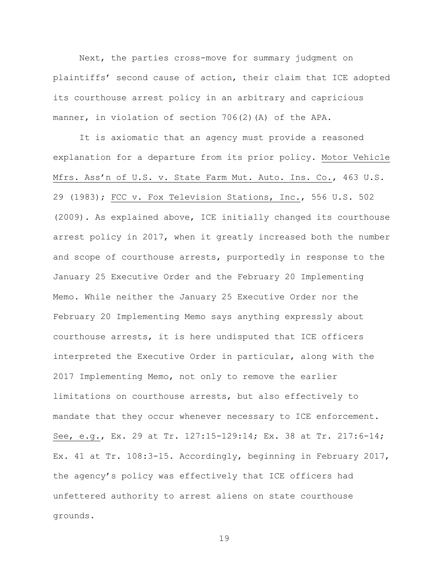Next, the parties cross-move for summary judgment on plaintiffs' second cause of action, their claim that ICE adopted its courthouse arrest policy in an arbitrary and capricious manner, in violation of section 706(2)(A) of the APA.

It is axiomatic that an agency must provide a reasoned explanation for a departure from its prior policy. Motor Vehicle Mfrs. Ass'n of U.S. v. State Farm Mut. Auto. Ins. Co., 463 U.S. 29 (1983); FCC v. Fox Television Stations, Inc., 556 U.S. 502 (2009). As explained above, ICE initially changed its courthouse arrest policy in 2017, when it greatly increased both the number and scope of courthouse arrests, purportedly in response to the January 25 Executive Order and the February 20 Implementing Memo. While neither the January 25 Executive Order nor the February 20 Implementing Memo says anything expressly about courthouse arrests, it is here undisputed that ICE officers interpreted the Executive Order in particular, along with the 2017 Implementing Memo, not only to remove the earlier limitations on courthouse arrests, but also effectively to mandate that they occur whenever necessary to ICE enforcement. See, e.g., Ex. 29 at Tr. 127:15-129:14; Ex. 38 at Tr. 217:6-14; Ex. 41 at Tr. 108:3-15. Accordingly, beginning in February 2017, the agency's policy was effectively that ICE officers had unfettered authority to arrest aliens on state courthouse grounds.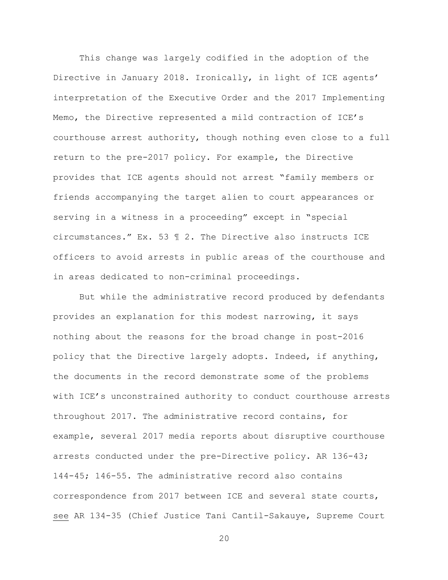This change was largely codified in the adoption of the Directive in January 2018. Ironically, in light of ICE agents' interpretation of the Executive Order and the 2017 Implementing Memo, the Directive represented a mild contraction of ICE's courthouse arrest authority, though nothing even close to a full return to the pre-2017 policy. For example, the Directive provides that ICE agents should not arrest "family members or friends accompanying the target alien to court appearances or serving in a witness in a proceeding" except in "special circumstances." Ex. 53 ¶ 2. The Directive also instructs ICE officers to avoid arrests in public areas of the courthouse and in areas dedicated to non-criminal proceedings.

But while the administrative record produced by defendants provides an explanation for this modest narrowing, it says nothing about the reasons for the broad change in post-2016 policy that the Directive largely adopts. Indeed, if anything, the documents in the record demonstrate some of the problems with ICE's unconstrained authority to conduct courthouse arrests throughout 2017. The administrative record contains, for example, several 2017 media reports about disruptive courthouse arrests conducted under the pre-Directive policy. AR 136-43; 144-45; 146-55. The administrative record also contains correspondence from 2017 between ICE and several state courts, see AR 134-35 (Chief Justice Tani Cantil-Sakauye, Supreme Court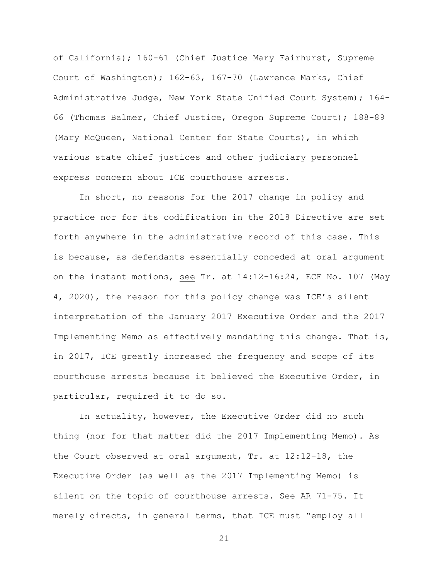of California); 160-61 (Chief Justice Mary Fairhurst, Supreme Court of Washington); 162-63, 167-70 (Lawrence Marks, Chief Administrative Judge, New York State Unified Court System); 164- 66 (Thomas Balmer, Chief Justice, Oregon Supreme Court); 188-89 (Mary McQueen, National Center for State Courts), in which various state chief justices and other judiciary personnel express concern about ICE courthouse arrests.

In short, no reasons for the 2017 change in policy and practice nor for its codification in the 2018 Directive are set forth anywhere in the administrative record of this case. This is because, as defendants essentially conceded at oral argument on the instant motions, see Tr. at 14:12-16:24, ECF No. 107 (May 4, 2020), the reason for this policy change was ICE's silent interpretation of the January 2017 Executive Order and the 2017 Implementing Memo as effectively mandating this change. That is, in 2017, ICE greatly increased the frequency and scope of its courthouse arrests because it believed the Executive Order, in particular, required it to do so.

In actuality, however, the Executive Order did no such thing (nor for that matter did the 2017 Implementing Memo). As the Court observed at oral argument, Tr. at 12:12-18, the Executive Order (as well as the 2017 Implementing Memo) is silent on the topic of courthouse arrests. See AR 71-75. It merely directs, in general terms, that ICE must "employ all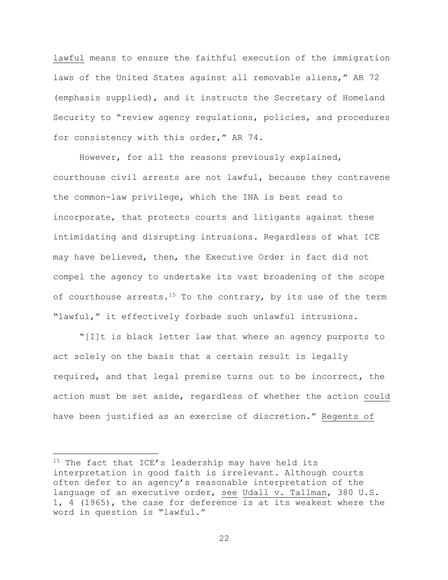lawful means to ensure the faithful execution of the immigration laws of the United States against all removable aliens," AR 72 (emphasis supplied), and it instructs the Secretary of Homeland Security to "review agency regulations, policies, and procedures for consistency with this order," AR 74.

However, for all the reasons previously explained, courthouse civil arrests are not lawful, because they contravene the common-law privilege, which the INA is best read to incorporate, that protects courts and litigants against these intimidating and disrupting intrusions. Regardless of what ICE may have believed, then, the Executive Order in fact did not compel the agency to undertake its vast broadening of the scope of courthouse arrests.<sup>15</sup> To the contrary, by its use of the term "lawful," it effectively forbade such unlawful intrusions.

"[I]t is black letter law that where an agency purports to act solely on the basis that a certain result is legally required, and that legal premise turns out to be incorrect, the action must be set aside, regardless of whether the action could have been justified as an exercise of discretion." Regents of

 $15$  The fact that ICE's leadership may have held its interpretation in good faith is irrelevant. Although courts often defer to an agency's reasonable interpretation of the language of an executive order, see Udall v. Tallman, 380 U.S. 1, 4 (1965), the case for deference is at its weakest where the word in question is "lawful."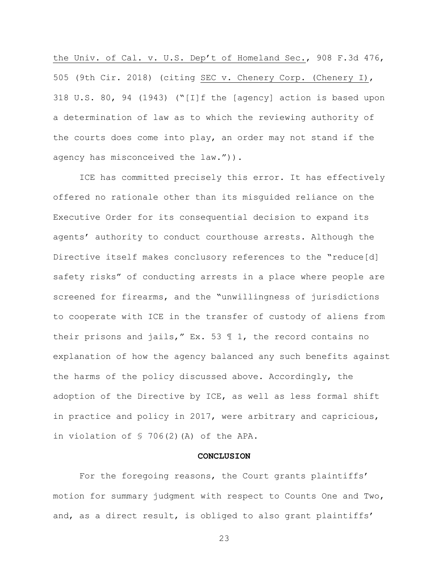the Univ. of Cal. v. U.S. Dep't of Homeland Sec., 908 F.3d 476, 505 (9th Cir. 2018) (citing SEC v. Chenery Corp. (Chenery I), 318 U.S. 80, 94 (1943) ("[I]f the [agency] action is based upon a determination of law as to which the reviewing authority of the courts does come into play, an order may not stand if the agency has misconceived the law.")).

ICE has committed precisely this error. It has effectively offered no rationale other than its misguided reliance on the Executive Order for its consequential decision to expand its agents' authority to conduct courthouse arrests. Although the Directive itself makes conclusory references to the "reduce[d] safety risks" of conducting arrests in a place where people are screened for firearms, and the "unwillingness of jurisdictions to cooperate with ICE in the transfer of custody of aliens from their prisons and jails," Ex. 53 ¶ 1, the record contains no explanation of how the agency balanced any such benefits against the harms of the policy discussed above. Accordingly, the adoption of the Directive by ICE, as well as less formal shift in practice and policy in 2017, were arbitrary and capricious, in violation of § 706(2)(A) of the APA.

## **CONCLUSION**

For the foregoing reasons, the Court grants plaintiffs' motion for summary judgment with respect to Counts One and Two, and, as a direct result, is obliged to also grant plaintiffs'